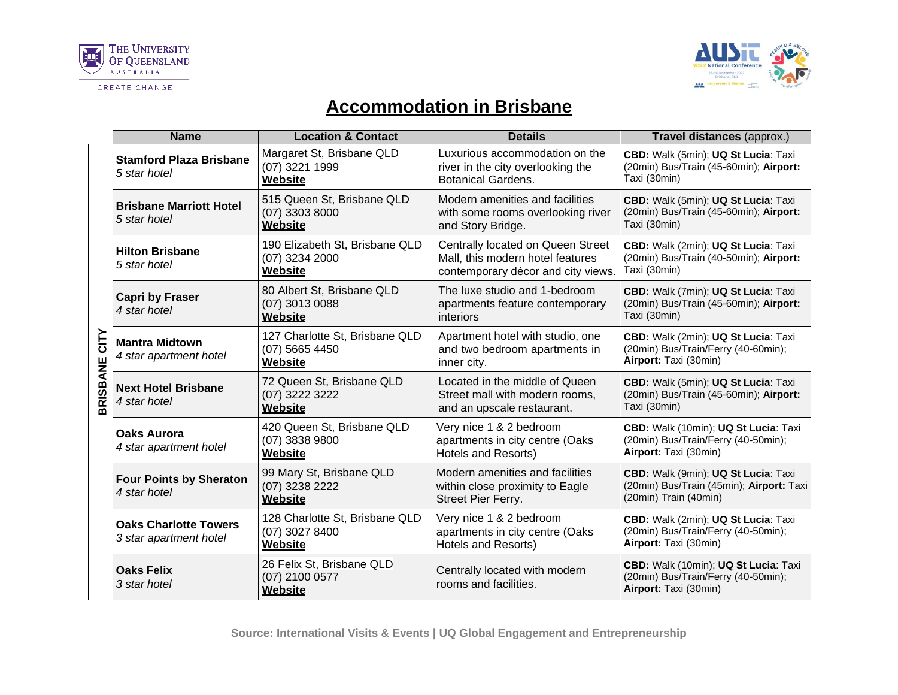



## **Accommodation in Brisbane**

|                         | <b>Name</b>                                            | <b>Location &amp; Contact</b>                                  | <b>Details</b>                                                                                              | Travel distances (approx.)                                                                               |
|-------------------------|--------------------------------------------------------|----------------------------------------------------------------|-------------------------------------------------------------------------------------------------------------|----------------------------------------------------------------------------------------------------------|
| CITY<br><b>BRISBANE</b> | <b>Stamford Plaza Brisbane</b><br>5 star hotel         | Margaret St, Brisbane QLD<br>(07) 3221 1999<br>Website         | Luxurious accommodation on the<br>river in the city overlooking the<br><b>Botanical Gardens.</b>            | CBD: Walk (5min); UQ St Lucia: Taxi<br>(20min) Bus/Train (45-60min); Airport:<br>Taxi (30min)            |
|                         | <b>Brisbane Marriott Hotel</b><br>5 star hotel         | 515 Queen St, Brisbane QLD<br>$(07)$ 3303 8000<br>Website      | Modern amenities and facilities<br>with some rooms overlooking river<br>and Story Bridge.                   | CBD: Walk (5min); UQ St Lucia: Taxi<br>(20min) Bus/Train (45-60min); Airport:<br>Taxi (30min)            |
|                         | <b>Hilton Brisbane</b><br>5 star hotel                 | 190 Elizabeth St, Brisbane QLD<br>(07) 3234 2000<br>Website    | Centrally located on Queen Street<br>Mall, this modern hotel features<br>contemporary décor and city views. | CBD: Walk (2min); UQ St Lucia: Taxi<br>(20min) Bus/Train (40-50min); Airport:<br>Taxi (30min)            |
|                         | <b>Capri by Fraser</b><br>4 star hotel                 | 80 Albert St, Brisbane QLD<br>(07) 3013 0088<br>Website        | The luxe studio and 1-bedroom<br>apartments feature contemporary<br>interiors                               | CBD: Walk (7min); UQ St Lucia: Taxi<br>(20min) Bus/Train (45-60min); Airport:<br>Taxi (30min)            |
|                         | <b>Mantra Midtown</b><br>4 star apartment hotel        | 127 Charlotte St, Brisbane QLD<br>$(07)$ 5665 4450<br>Website  | Apartment hotel with studio, one<br>and two bedroom apartments in<br>inner city.                            | CBD: Walk (2min); UQ St Lucia: Taxi<br>(20min) Bus/Train/Ferry (40-60min);<br>Airport: Taxi (30min)      |
|                         | <b>Next Hotel Brisbane</b><br>4 star hotel             | 72 Queen St, Brisbane QLD<br>(07) 3222 3222<br>Website         | Located in the middle of Queen<br>Street mall with modern rooms,<br>and an upscale restaurant.              | CBD: Walk (5min); UQ St Lucia: Taxi<br>(20min) Bus/Train (45-60min); Airport:<br>Taxi (30min)            |
|                         | <b>Oaks Aurora</b><br>4 star apartment hotel           | 420 Queen St, Brisbane QLD<br>(07) 3838 9800<br><b>Website</b> | Very nice 1 & 2 bedroom<br>apartments in city centre (Oaks<br>Hotels and Resorts)                           | CBD: Walk (10min); UQ St Lucia: Taxi<br>(20min) Bus/Train/Ferry (40-50min);<br>Airport: Taxi (30min)     |
|                         | <b>Four Points by Sheraton</b><br>4 star hotel         | 99 Mary St, Brisbane QLD<br>(07) 3238 2222<br>Website          | Modern amenities and facilities<br>within close proximity to Eagle<br>Street Pier Ferry.                    | CBD: Walk (9min); UQ St Lucia: Taxi<br>(20min) Bus/Train (45min); Airport: Taxi<br>(20min) Train (40min) |
|                         | <b>Oaks Charlotte Towers</b><br>3 star apartment hotel | 128 Charlotte St, Brisbane QLD<br>(07) 3027 8400<br>Website    | Very nice 1 & 2 bedroom<br>apartments in city centre (Oaks<br>Hotels and Resorts)                           | CBD: Walk (2min); UQ St Lucia: Taxi<br>(20min) Bus/Train/Ferry (40-50min);<br>Airport: Taxi (30min)      |
|                         | <b>Oaks Felix</b><br>3 star hotel                      | 26 Felix St, Brisbane QLD<br>(07) 2100 0577<br>Website         | Centrally located with modern<br>rooms and facilities.                                                      | CBD: Walk (10min); UQ St Lucia: Taxi<br>(20min) Bus/Train/Ferry (40-50min);<br>Airport: Taxi (30min)     |